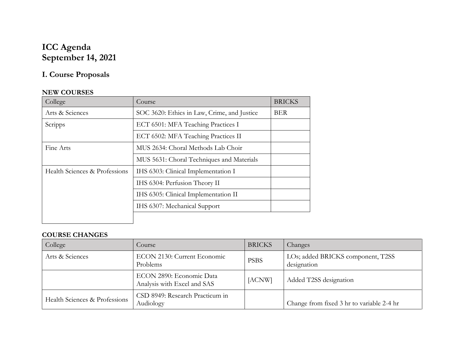## **ICC Agenda September 14, 2021**

# **I. Course Proposals**

## **NEW COURSES**

| College                       | Course                                                    | <b>BRICKS</b> |
|-------------------------------|-----------------------------------------------------------|---------------|
| Arts & Sciences               | SOC 3620: Ethics in Law, Crime, and Justice<br><b>BER</b> |               |
| Scripps                       | ECT 6501: MFA Teaching Practices I                        |               |
|                               | ECT 6502: MFA Teaching Practices II                       |               |
| Fine Arts                     | MUS 2634: Choral Methods Lab Choir                        |               |
|                               | MUS 5631: Choral Techniques and Materials                 |               |
| Health Sciences & Professions | IHS 6303: Clinical Implementation I                       |               |
|                               | IHS 6304: Perfusion Theory II                             |               |
|                               | IHS 6305: Clinical Implementation II                      |               |
|                               | IHS 6307: Mechanical Support                              |               |
|                               |                                                           |               |

## **COURSE CHANGES**

| College                       | Course                                                  | <b>BRICKS</b> | Changes                                          |
|-------------------------------|---------------------------------------------------------|---------------|--------------------------------------------------|
| Arts & Sciences               | ECON 2130: Current Economic<br>Problems                 | <b>PSBS</b>   | LOs; added BRICKS component, T2SS<br>designation |
|                               | ECON 2890: Economic Data<br>Analysis with Excel and SAS | [ACNW]        | Added T2SS designation                           |
| Health Sciences & Professions | CSD 8949: Research Practicum in<br>Audiology            |               | Change from fixed 3 hr to variable 2-4 hr        |